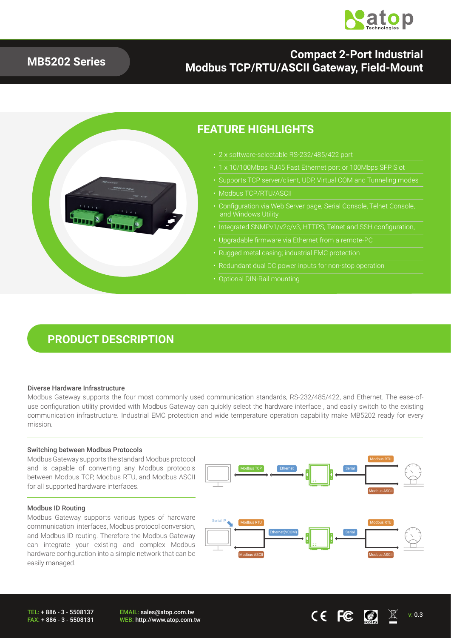

### **MB5202 Series**

### **Compact 2-Port Industrial Modbus TCP/RTU/ASCII Gateway, Field-Mount**



### **FEATURE HIGHLIGHTS**

- 2 x software-selectable RS-232/485/422 port
	-
- Supports TCP server/client, UDP, Virtual COM and Tunneling modes
- Modbus TCP/RTU/ASCII
- Configuration via Web Server page, Serial Console, Telnet Console, and Windows Utility
- Integrated SNMPv1/v2c/v3, HTTPS, Telnet and SSH configuration,
- Upgradable firmware via Ethernet from a remote-PC
- Rugged metal casing; industrial EMC protection
- 
- Optional DIN-Rail mounting

## **PRODUCT DESCRIPTION**

#### Diverse Hardware Infrastructure

Modbus Gateway supports the four most commonly used communication standards, RS-232/485/422, and Ethernet. The ease-ofuse configuration utility provided with Modbus Gateway can quickly select the hardware interface , and easily switch to the existing communication infrastructure. Industrial EMC protection and wide temperature operation capability make MB5202 ready for every mission.

#### Switching between Modbus Protocols

Modbus Gateway supports the standard Modbus protocol and is capable of converting any Modbus protocols between Modbus TCP, Modbus RTU, and Modbus ASCII for all supported hardware interfaces.

#### Modbus ID Routing

Modbus Gateway supports various types of hardware communication interfaces, Modbus protocol conversion, and Modbus ID routing. Therefore the Modbus Gateway can integrate your existing and complex Modbus hardware configuration into a simple network that can be easily managed.



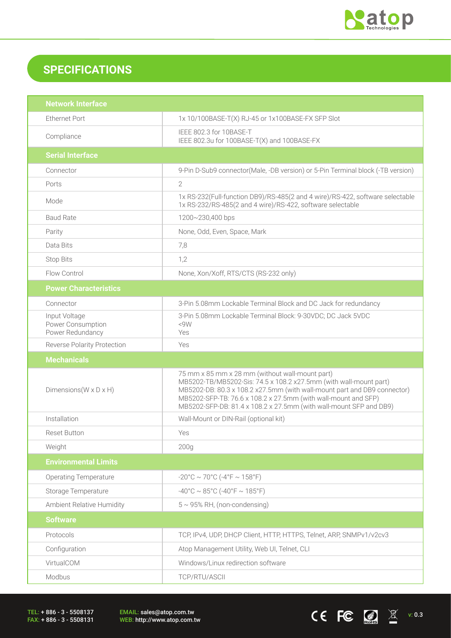

CEFC  $\bigcirc$   $\mathbb{Z}$  wides

## **SPECIFICATIONS**

| <b>Network Interface</b>                               |                                                                                                                                                                                                                                                                                                                                          |  |
|--------------------------------------------------------|------------------------------------------------------------------------------------------------------------------------------------------------------------------------------------------------------------------------------------------------------------------------------------------------------------------------------------------|--|
| <b>Ethernet Port</b>                                   | 1x 10/100BASE-T(X) RJ-45 or 1x100BASE-FX SFP Slot                                                                                                                                                                                                                                                                                        |  |
| Compliance                                             | IEEE 802.3 for 10BASE-T<br>IEEE 802.3u for 100BASE-T(X) and 100BASE-FX                                                                                                                                                                                                                                                                   |  |
| <b>Serial Interface</b>                                |                                                                                                                                                                                                                                                                                                                                          |  |
| Connector                                              | 9-Pin D-Sub9 connector(Male, -DB version) or 5-Pin Terminal block (-TB version)                                                                                                                                                                                                                                                          |  |
| Ports                                                  | $\overline{2}$                                                                                                                                                                                                                                                                                                                           |  |
| Mode                                                   | 1x RS-232(Full-function DB9)/RS-485(2 and 4 wire)/RS-422, software selectable<br>1x RS-232/RS-485(2 and 4 wire)/RS-422, software selectable                                                                                                                                                                                              |  |
| <b>Baud Rate</b>                                       | 1200~230,400 bps                                                                                                                                                                                                                                                                                                                         |  |
| Parity                                                 | None, Odd, Even, Space, Mark                                                                                                                                                                                                                                                                                                             |  |
| Data Bits                                              | 7,8                                                                                                                                                                                                                                                                                                                                      |  |
| <b>Stop Bits</b>                                       | 1,2                                                                                                                                                                                                                                                                                                                                      |  |
| Flow Control                                           | None, Xon/Xoff, RTS/CTS (RS-232 only)                                                                                                                                                                                                                                                                                                    |  |
| <b>Power Characteristics</b>                           |                                                                                                                                                                                                                                                                                                                                          |  |
| Connector                                              | 3-Pin 5.08mm Lockable Terminal Block and DC Jack for redundancy                                                                                                                                                                                                                                                                          |  |
| Input Voltage<br>Power Consumption<br>Power Redundancy | 3-Pin 5.08mm Lockable Terminal Block: 9-30VDC; DC Jack 5VDC<br><9W<br>Yes                                                                                                                                                                                                                                                                |  |
| <b>Reverse Polarity Protection</b>                     | Yes                                                                                                                                                                                                                                                                                                                                      |  |
|                                                        |                                                                                                                                                                                                                                                                                                                                          |  |
| <b>Mechanicals</b>                                     |                                                                                                                                                                                                                                                                                                                                          |  |
| Dimensions ( $W \times D \times H$ )                   | 75 mm x 85 mm x 28 mm (without wall-mount part)<br>MB5202-TB/MB5202-Sis: 74.5 x 108.2 x27.5mm (with wall-mount part)<br>MB5202-DB: 80.3 x 108.2 x27.5mm (with wall-mount part and DB9 connector)<br>MB5202-SFP-TB: 76.6 x 108.2 x 27.5mm (with wall-mount and SFP)<br>MB5202-SFP-DB: 81.4 x 108.2 x 27.5mm (with wall-mount SFP and DB9) |  |
| Installation                                           | Wall-Mount or DIN-Rail (optional kit)                                                                                                                                                                                                                                                                                                    |  |
| <b>Reset Button</b>                                    | Yes                                                                                                                                                                                                                                                                                                                                      |  |
| Weight                                                 | 200 <sub>g</sub>                                                                                                                                                                                                                                                                                                                         |  |
| <b>Environmental Limits</b>                            |                                                                                                                                                                                                                                                                                                                                          |  |
| <b>Operating Temperature</b>                           | $-20^{\circ}$ C ~ 70°C ( $-4^{\circ}$ F ~ 158°F)                                                                                                                                                                                                                                                                                         |  |
| Storage Temperature                                    | $-40^{\circ}$ C ~ 85°C (-40°F ~ 185°F)                                                                                                                                                                                                                                                                                                   |  |
| Ambient Relative Humidity                              | $5 \sim 95\%$ RH, (non-condensing)                                                                                                                                                                                                                                                                                                       |  |
| <b>Software</b>                                        |                                                                                                                                                                                                                                                                                                                                          |  |
| Protocols                                              | TCP, IPv4, UDP, DHCP Client, HTTP, HTTPS, Telnet, ARP, SNMPv1/v2cv3                                                                                                                                                                                                                                                                      |  |
| Configuration                                          | Atop Management Utility, Web UI, Telnet, CLI                                                                                                                                                                                                                                                                                             |  |
| VirtualCOM                                             | Windows/Linux redirection software                                                                                                                                                                                                                                                                                                       |  |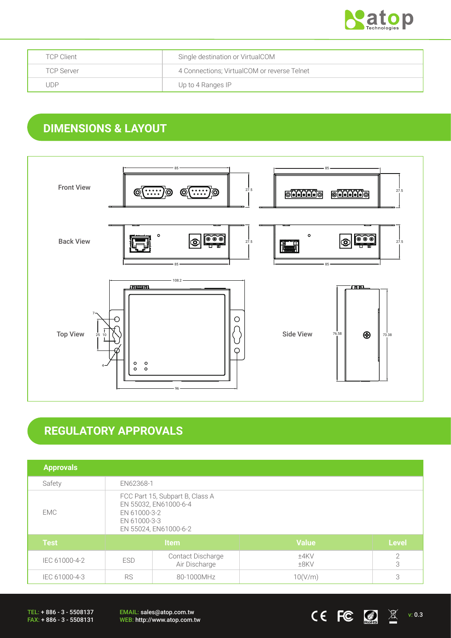

| <b>TCP Client</b> | Single destination or VirtualCOM            |
|-------------------|---------------------------------------------|
| <b>TCP Server</b> | 4 Connections; VirtualCOM or reverse Telnet |
| . JDP             | Up to 4 Ranges IP                           |

## **DIMENSIONS & LAYOUT**



# **REGULATORY APPROVALS**

| <b>Approvals</b> |                                                                                                                   |                                    |                 |                 |
|------------------|-------------------------------------------------------------------------------------------------------------------|------------------------------------|-----------------|-----------------|
| Safety           | EN62368-1                                                                                                         |                                    |                 |                 |
| EMC              | FCC Part 15, Subpart B, Class A<br>EN 55032, EN61000-6-4<br>EN 61000-3-2<br>EN 61000-3-3<br>EN 55024, EN61000-6-2 |                                    |                 |                 |
| <b>Test</b>      | Item                                                                                                              |                                    | <b>Value</b>    | <b>Level</b>    |
| IEC 61000-4-2    | <b>ESD</b>                                                                                                        | Contact Discharge<br>Air Discharge | ±4KV<br>$±8$ KV | $\sqrt{2}$<br>3 |
| IEC 61000-4-3    | <b>RS</b><br>80-1000MHz                                                                                           |                                    | 10(V/m)         | 3               |